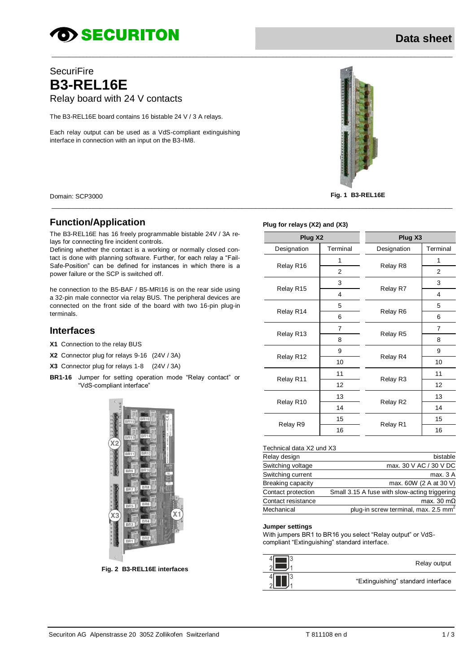# **OD SECURITON**

## **SecuriFire B3-REL16E** Relay board with 24 V contacts

The B3-REL16E board contains 16 bistable 24 V / 3 A relays.

Each relay output can be used as a VdS-compliant extinguishing interface in connection with an input on the B3-IM8.



Domain: SCP3000 **Fig. 1 B3-REL16E**

## **Function/Application**

The B3-REL16E has 16 freely programmable bistable 24V / 3A relays for connecting fire incident controls.

Defining whether the contact is a working or normally closed contact is done with planning software. Further, for each relay a "Fail-Safe-Position" can be defined for instances in which there is a power failure or the SCP is switched off.

he connection to the B5-BAF / B5-MRI16 is on the rear side using a 32-pin male connector via relay BUS. The peripheral devices are connected on the front side of the board with two 16-pin plug-in terminals.

## **Interfaces**

- **X1** Connection to the relay BUS
- **X2** Connector plug for relays 9-16 (24V / 3A)

**X3** Connector plug for relays 1-8 (24V / 3A)

**BR1-16** Jumper for setting operation mode "Relay contact" or "VdS-compliant interface"



**Fig. 2 B3-REL16E interfaces**

#### **Plug for relays (X2) and (X3)**

\_\_\_\_\_\_\_\_\_\_\_\_\_\_\_\_\_\_\_\_\_\_\_\_\_\_\_\_\_\_\_\_\_\_\_\_\_\_\_\_\_\_\_\_\_\_\_\_\_\_\_\_\_\_\_\_\_\_\_\_\_\_\_\_\_\_\_\_\_\_\_\_\_\_\_\_\_\_\_\_\_\_\_\_\_\_\_\_\_\_\_\_\_\_\_\_\_\_\_\_\_\_\_\_\_\_\_\_\_\_\_\_\_\_\_\_

\_\_\_\_\_\_\_\_\_\_\_\_\_\_\_\_\_\_\_\_\_\_\_\_\_\_\_\_\_\_\_\_\_\_\_\_\_\_\_\_\_\_\_\_\_\_\_\_\_\_\_\_\_\_\_\_\_\_\_\_\_\_\_\_\_\_\_\_\_\_\_\_\_\_\_\_\_\_\_\_\_\_\_\_\_\_\_\_\_\_\_\_\_\_\_\_\_\_\_\_\_\_\_\_\_\_\_\_\_\_\_\_\_\_\_\_

| Plug X2     |                | Plug X3     |                |
|-------------|----------------|-------------|----------------|
| Designation | Terminal       | Designation | Terminal       |
| Relay R16   | 1              | Relay R8    | 1              |
|             | 2              |             | $\overline{2}$ |
| Relay R15   | 3              | Relay R7    | 3              |
|             | 4              |             | $\overline{4}$ |
| Relay R14   | 5              | Relay R6    | 5              |
|             | 6              |             | 6              |
| Relay R13   | $\overline{7}$ | Relay R5    | $\overline{7}$ |
|             | 8              |             | 8              |
| Relay R12   | 9              |             | 9              |
|             | 10             | Relay R4    | 10             |
| Relay R11   | 11             | Relay R3    | 11             |
|             | 12             |             | 12             |
| Relay R10   | 13             | Relay R2    | 13             |
|             | 14             |             | 14             |
| Relay R9    | 15             | Relay R1    | 15             |
|             | 16             |             | 16             |

### Technical data X2 und X3

| Relay design       | bistable                                         |
|--------------------|--------------------------------------------------|
| Switching voltage  | max. 30 V AC / 30 V DC                           |
| Switching current  | max. 3 A                                         |
| Breaking capacity  | max. 60W (2 A at 30 V)                           |
| Contact protection | Small 3.15 A fuse with slow-acting triggering    |
| Contact resistance | max. 30 $m\Omega$                                |
| Mechanical         | plug-in screw terminal, max. 2.5 mm <sup>2</sup> |
|                    |                                                  |

#### **Jumper settings**

With jumpers BR1 to BR16 you select "Relay output" or VdScompliant "Extinguishing" standard interface.

| Relay output                       |
|------------------------------------|
| "Extinguishing" standard interface |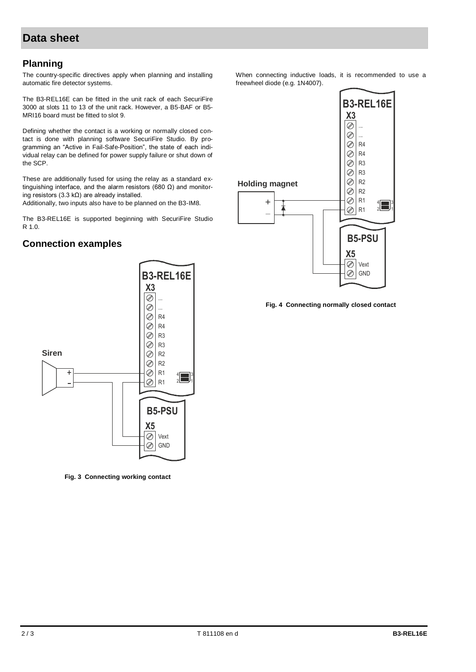## **Data sheet**

## **Planning**

The country-specific directives apply when planning and installing automatic fire detector systems.

The B3-REL16E can be fitted in the unit rack of each SecuriFire 3000 at slots 11 to 13 of the unit rack. However, a B5-BAF or B5- MRI16 board must be fitted to slot 9.

Defining whether the contact is a working or normally closed contact is done with planning software SecuriFire Studio. By programming an "Active in Fail-Safe-Position", the state of each individual relay can be defined for power supply failure or shut down of the SCP.

These are additionally fused for using the relay as a standard extinguishing interface, and the alarm resistors (680 Ω) and monitoring resistors (3.3 kΩ) are already installed.

Additionally, two inputs also have to be planned on the B3-IM8.

The B3-REL16E is supported beginning with SecuriFire Studio R 1.0.

## **Connection examples**



**Fig. 3 Connecting working contact**

When connecting inductive loads, it is recommended to use a freewheel diode (e.g. 1N4007).



**Fig. 4 Connecting normally closed contact**